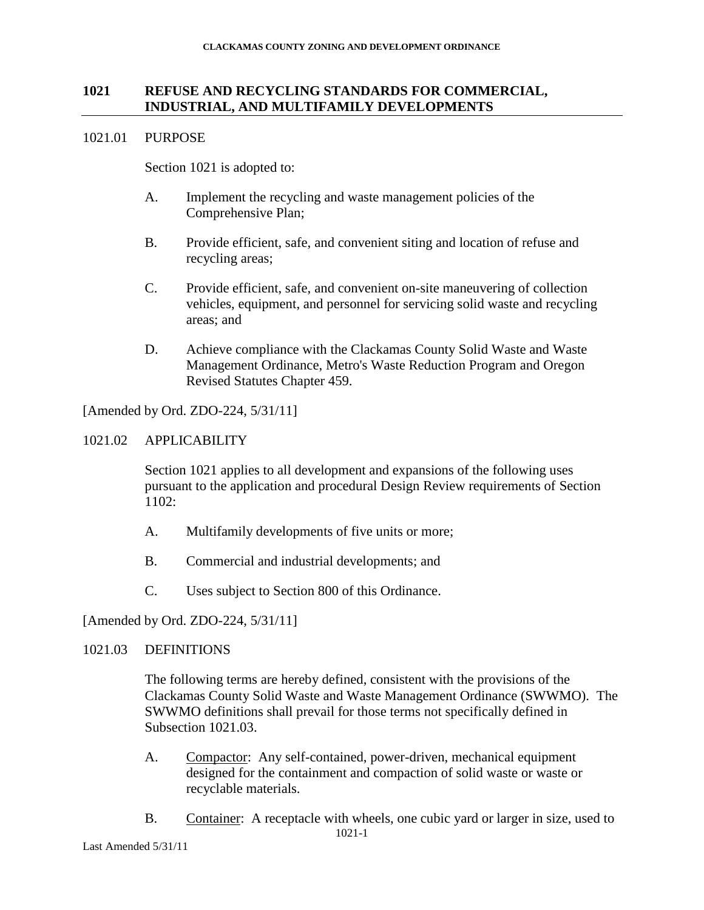## **1021 REFUSE AND RECYCLING STANDARDS FOR COMMERCIAL, INDUSTRIAL, AND MULTIFAMILY DEVELOPMENTS**

#### 1021.01 PURPOSE

Section 1021 is adopted to:

- A. Implement the recycling and waste management policies of the Comprehensive Plan;
- B. Provide efficient, safe, and convenient siting and location of refuse and recycling areas;
- C. Provide efficient, safe, and convenient on-site maneuvering of collection vehicles, equipment, and personnel for servicing solid waste and recycling areas; and
- D. Achieve compliance with the Clackamas County Solid Waste and Waste Management Ordinance, Metro's Waste Reduction Program and Oregon Revised Statutes Chapter 459.

[Amended by Ord. ZDO-224, 5/31/11]

## 1021.02 APPLICABILITY

Section 1021 applies to all development and expansions of the following uses pursuant to the application and procedural Design Review requirements of Section 1102:

- A. Multifamily developments of five units or more;
- B. Commercial and industrial developments; and
- C. Uses subject to Section 800 of this Ordinance.

[Amended by Ord. ZDO-224, 5/31/11]

## 1021.03 DEFINITIONS

The following terms are hereby defined, consistent with the provisions of the Clackamas County Solid Waste and Waste Management Ordinance (SWWMO).The SWWMO definitions shall prevail for those terms not specifically defined in Subsection 1021.03.

- A. Compactor: Any self-contained, power-driven, mechanical equipment designed for the containment and compaction of solid waste or waste or recyclable materials.
- 1021-1 B. Container: A receptacle with wheels, one cubic yard or larger in size, used to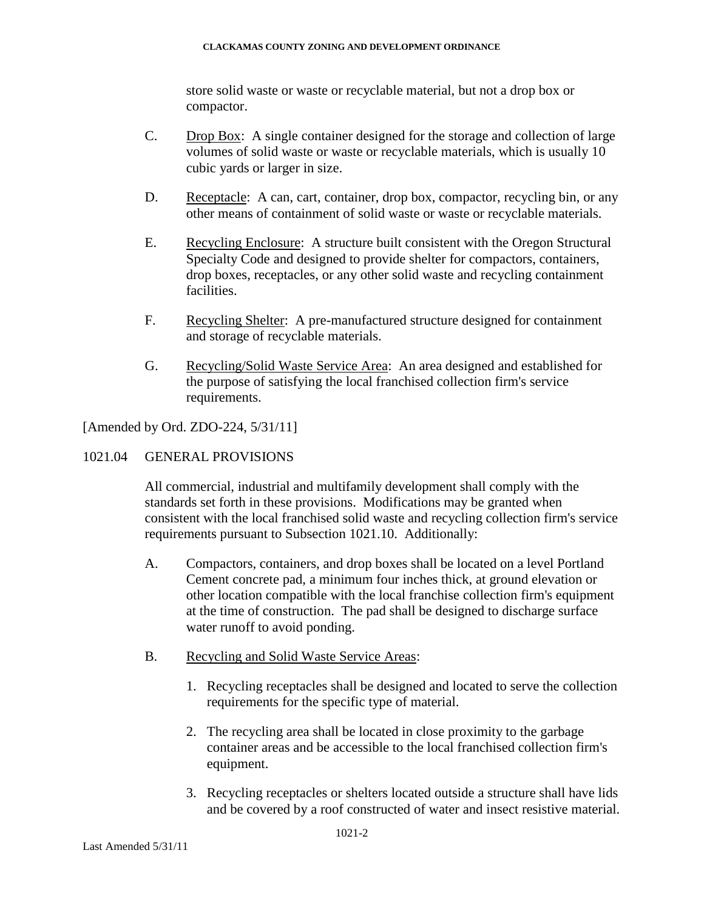store solid waste or waste or recyclable material, but not a drop box or compactor.

- C. Drop Box: A single container designed for the storage and collection of large volumes of solid waste or waste or recyclable materials, which is usually 10 cubic yards or larger in size.
- D. Receptacle: A can, cart, container, drop box, compactor, recycling bin, or any other means of containment of solid waste or waste or recyclable materials.
- E. Recycling Enclosure: A structure built consistent with the Oregon Structural Specialty Code and designed to provide shelter for compactors, containers, drop boxes, receptacles, or any other solid waste and recycling containment facilities.
- F. Recycling Shelter: A pre-manufactured structure designed for containment and storage of recyclable materials.
- G. Recycling/Solid Waste Service Area: An area designed and established for the purpose of satisfying the local franchised collection firm's service requirements.

[Amended by Ord. ZDO-224, 5/31/11]

1021.04 GENERAL PROVISIONS

All commercial, industrial and multifamily development shall comply with the standards set forth in these provisions. Modifications may be granted when consistent with the local franchised solid waste and recycling collection firm's service requirements pursuant to Subsection 1021.10. Additionally:

- A. Compactors, containers, and drop boxes shall be located on a level Portland Cement concrete pad, a minimum four inches thick, at ground elevation or other location compatible with the local franchise collection firm's equipment at the time of construction. The pad shall be designed to discharge surface water runoff to avoid ponding.
- B. Recycling and Solid Waste Service Areas:
	- 1. Recycling receptacles shall be designed and located to serve the collection requirements for the specific type of material.
	- 2. The recycling area shall be located in close proximity to the garbage container areas and be accessible to the local franchised collection firm's equipment.
	- 3. Recycling receptacles or shelters located outside a structure shall have lids and be covered by a roof constructed of water and insect resistive material.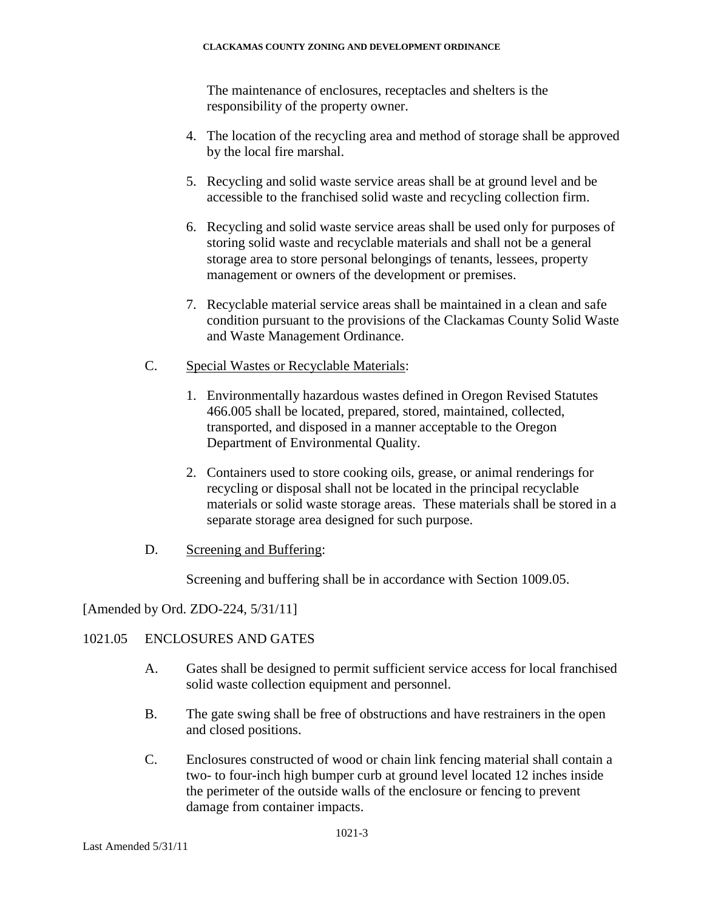The maintenance of enclosures, receptacles and shelters is the responsibility of the property owner.

- 4. The location of the recycling area and method of storage shall be approved by the local fire marshal.
- 5. Recycling and solid waste service areas shall be at ground level and be accessible to the franchised solid waste and recycling collection firm.
- 6. Recycling and solid waste service areas shall be used only for purposes of storing solid waste and recyclable materials and shall not be a general storage area to store personal belongings of tenants, lessees, property management or owners of the development or premises.
- 7. Recyclable material service areas shall be maintained in a clean and safe condition pursuant to the provisions of the Clackamas County Solid Waste and Waste Management Ordinance.
- C. Special Wastes or Recyclable Materials:
	- 1. Environmentally hazardous wastes defined in Oregon Revised Statutes 466.005 shall be located, prepared, stored, maintained, collected, transported, and disposed in a manner acceptable to the Oregon Department of Environmental Quality.
	- 2. Containers used to store cooking oils, grease, or animal renderings for recycling or disposal shall not be located in the principal recyclable materials or solid waste storage areas. These materials shall be stored in a separate storage area designed for such purpose.
- D. Screening and Buffering:

Screening and buffering shall be in accordance with Section 1009.05.

# [Amended by Ord. ZDO-224, 5/31/11]

# 1021.05 ENCLOSURES AND GATES

- A. Gates shall be designed to permit sufficient service access for local franchised solid waste collection equipment and personnel.
- B. The gate swing shall be free of obstructions and have restrainers in the open and closed positions.
- C. Enclosures constructed of wood or chain link fencing material shall contain a two- to four-inch high bumper curb at ground level located 12 inches inside the perimeter of the outside walls of the enclosure or fencing to prevent damage from container impacts.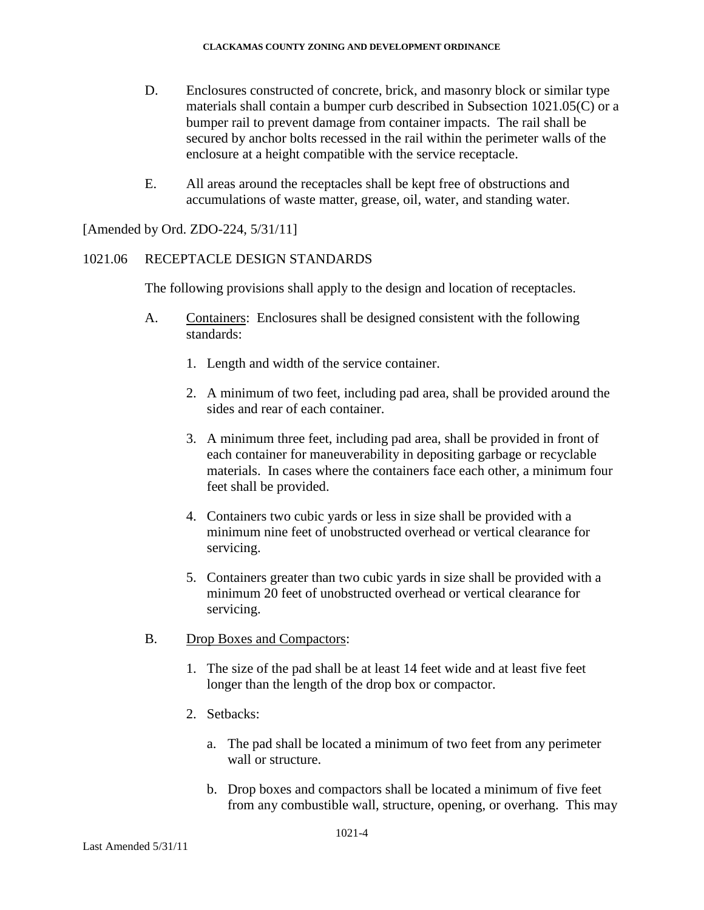- D. Enclosures constructed of concrete, brick, and masonry block or similar type materials shall contain a bumper curb described in Subsection 1021.05(C) or a bumper rail to prevent damage from container impacts. The rail shall be secured by anchor bolts recessed in the rail within the perimeter walls of the enclosure at a height compatible with the service receptacle.
- E. All areas around the receptacles shall be kept free of obstructions and accumulations of waste matter, grease, oil, water, and standing water.

[Amended by Ord. ZDO-224, 5/31/11]

## 1021.06 RECEPTACLE DESIGN STANDARDS

The following provisions shall apply to the design and location of receptacles.

- A. Containers: Enclosures shall be designed consistent with the following standards:
	- 1. Length and width of the service container.
	- 2. A minimum of two feet, including pad area, shall be provided around the sides and rear of each container.
	- 3. A minimum three feet, including pad area, shall be provided in front of each container for maneuverability in depositing garbage or recyclable materials. In cases where the containers face each other, a minimum four feet shall be provided.
	- 4. Containers two cubic yards or less in size shall be provided with a minimum nine feet of unobstructed overhead or vertical clearance for servicing.
	- 5. Containers greater than two cubic yards in size shall be provided with a minimum 20 feet of unobstructed overhead or vertical clearance for servicing.
- B. Drop Boxes and Compactors:
	- 1. The size of the pad shall be at least 14 feet wide and at least five feet longer than the length of the drop box or compactor.
	- 2. Setbacks:
		- a. The pad shall be located a minimum of two feet from any perimeter wall or structure.
		- b. Drop boxes and compactors shall be located a minimum of five feet from any combustible wall, structure, opening, or overhang. This may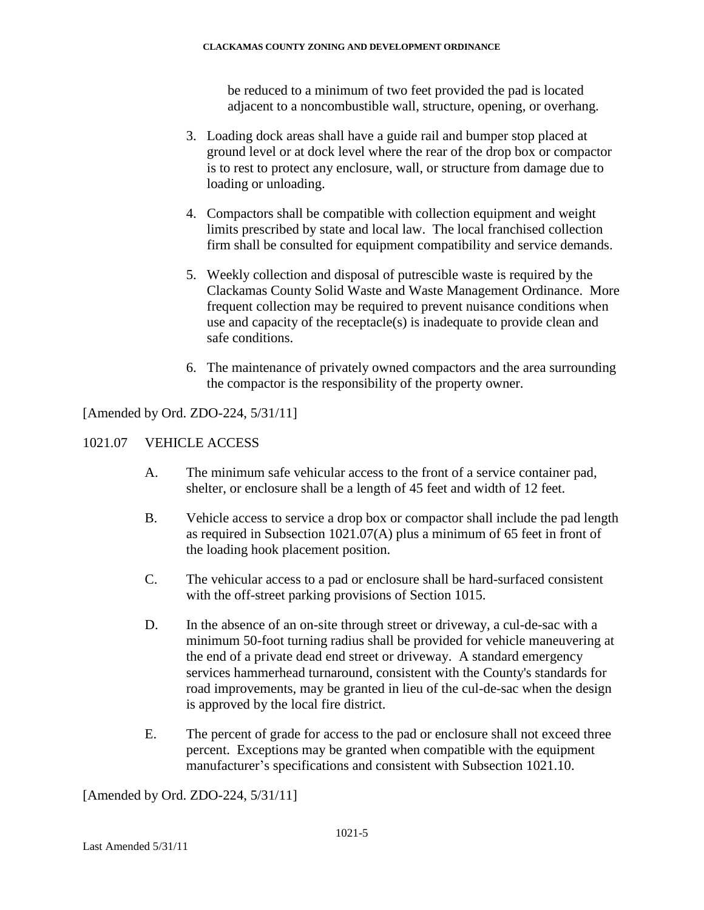be reduced to a minimum of two feet provided the pad is located adjacent to a noncombustible wall, structure, opening, or overhang.

- 3. Loading dock areas shall have a guide rail and bumper stop placed at ground level or at dock level where the rear of the drop box or compactor is to rest to protect any enclosure, wall, or structure from damage due to loading or unloading.
- 4. Compactors shall be compatible with collection equipment and weight limits prescribed by state and local law. The local franchised collection firm shall be consulted for equipment compatibility and service demands.
- 5. Weekly collection and disposal of putrescible waste is required by the Clackamas County Solid Waste and Waste Management Ordinance. More frequent collection may be required to prevent nuisance conditions when use and capacity of the receptacle(s) is inadequate to provide clean and safe conditions.
- 6. The maintenance of privately owned compactors and the area surrounding the compactor is the responsibility of the property owner.

[Amended by Ord. ZDO-224, 5/31/11]

# 1021.07 VEHICLE ACCESS

- A. The minimum safe vehicular access to the front of a service container pad, shelter, or enclosure shall be a length of 45 feet and width of 12 feet.
- B. Vehicle access to service a drop box or compactor shall include the pad length as required in Subsection 1021.07(A) plus a minimum of 65 feet in front of the loading hook placement position.
- C. The vehicular access to a pad or enclosure shall be hard-surfaced consistent with the off-street parking provisions of Section 1015.
- D. In the absence of an on-site through street or driveway, a cul-de-sac with a minimum 50-foot turning radius shall be provided for vehicle maneuvering at the end of a private dead end street or driveway. A standard emergency services hammerhead turnaround, consistent with the County's standards for road improvements, may be granted in lieu of the cul-de-sac when the design is approved by the local fire district.
- E. The percent of grade for access to the pad or enclosure shall not exceed three percent. Exceptions may be granted when compatible with the equipment manufacturer's specifications and consistent with Subsection 1021.10.

[Amended by Ord. ZDO-224, 5/31/11]